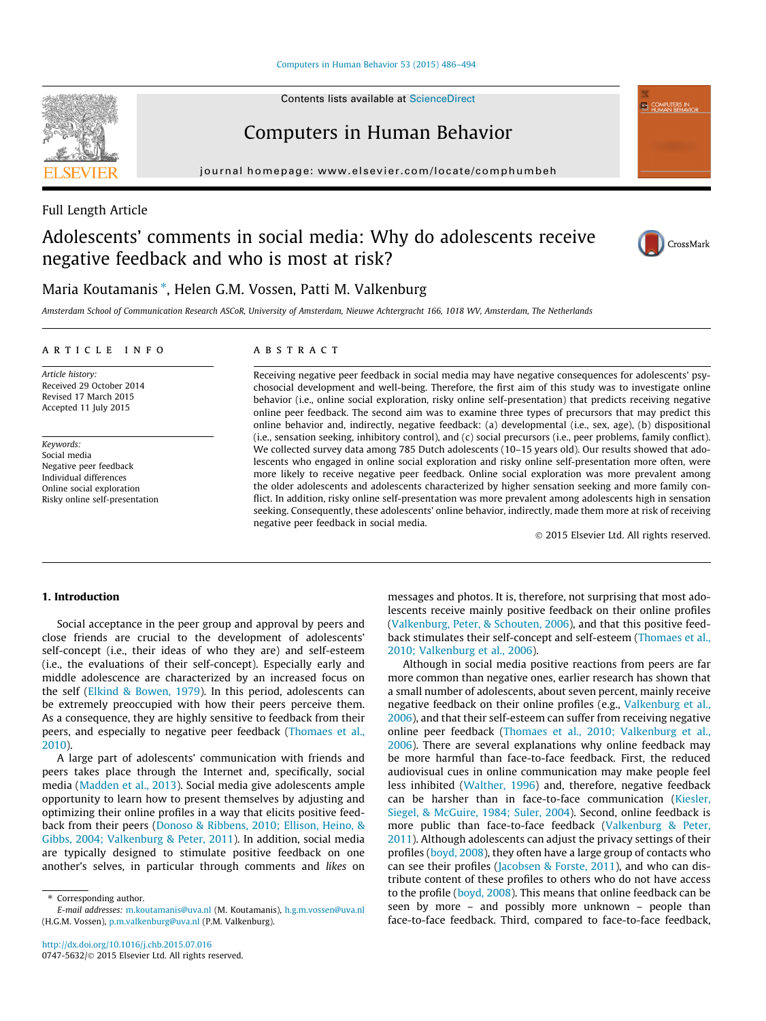Contents lists available at [ScienceDirect](http://www.sciencedirect.com/science/journal/07475632)

# Computers in Human Behavior

journal homepage: [www.elsevier.com/locate/comphumbeh](http://www.elsevier.com/locate/comphumbeh)

# Full Length Article

# Adolescents' comments in social media: Why do adolescents receive negative feedback and who is most at risk?



**EL COMPUTERS IN** 

Maria Koutamanis \*, Helen G.M. Vossen, Patti M. Valkenburg

Amsterdam School of Communication Research ASCoR, University of Amsterdam, Nieuwe Achtergracht 166, 1018 WV, Amsterdam, The Netherlands

#### article info

Article history: Received 29 October 2014 Revised 17 March 2015 Accepted 11 July 2015

Keywords: Social media Negative peer feedback Individual differences Online social exploration Risky online self-presentation

# ABSTRACT

Receiving negative peer feedback in social media may have negative consequences for adolescents' psychosocial development and well-being. Therefore, the first aim of this study was to investigate online behavior (i.e., online social exploration, risky online self-presentation) that predicts receiving negative online peer feedback. The second aim was to examine three types of precursors that may predict this online behavior and, indirectly, negative feedback: (a) developmental (i.e., sex, age), (b) dispositional (i.e., sensation seeking, inhibitory control), and (c) social precursors (i.e., peer problems, family conflict). We collected survey data among 785 Dutch adolescents (10–15 years old). Our results showed that adolescents who engaged in online social exploration and risky online self-presentation more often, were more likely to receive negative peer feedback. Online social exploration was more prevalent among the older adolescents and adolescents characterized by higher sensation seeking and more family conflict. In addition, risky online self-presentation was more prevalent among adolescents high in sensation seeking. Consequently, these adolescents' online behavior, indirectly, made them more at risk of receiving negative peer feedback in social media.

- 2015 Elsevier Ltd. All rights reserved.

## 1. Introduction

Social acceptance in the peer group and approval by peers and close friends are crucial to the development of adolescents' self-concept (i.e., their ideas of who they are) and self-esteem (i.e., the evaluations of their self-concept). Especially early and middle adolescence are characterized by an increased focus on the self [\(Elkind & Bowen, 1979\)](#page-7-0). In this period, adolescents can be extremely preoccupied with how their peers perceive them. As a consequence, they are highly sensitive to feedback from their peers, and especially to negative peer feedback ([Thomaes et al.,](#page-8-0) [2010\)](#page-8-0).

A large part of adolescents' communication with friends and peers takes place through the Internet and, specifically, social media ([Madden et al., 2013](#page-8-0)). Social media give adolescents ample opportunity to learn how to present themselves by adjusting and optimizing their online profiles in a way that elicits positive feedback from their peers ([Donoso & Ribbens, 2010; Ellison, Heino, &](#page-7-0) [Gibbs, 2004; Valkenburg & Peter, 2011\)](#page-7-0). In addition, social media are typically designed to stimulate positive feedback on one another's selves, in particular through comments and likes on messages and photos. It is, therefore, not surprising that most adolescents receive mainly positive feedback on their online profiles ([Valkenburg, Peter, & Schouten, 2006\)](#page-8-0), and that this positive feedback stimulates their self-concept and self-esteem ([Thomaes et al.,](#page-8-0) [2010; Valkenburg et al., 2006](#page-8-0)).

Although in social media positive reactions from peers are far more common than negative ones, earlier research has shown that a small number of adolescents, about seven percent, mainly receive negative feedback on their online profiles (e.g., [Valkenburg et al.,](#page-8-0) [2006\)](#page-8-0), and that their self-esteem can suffer from receiving negative online peer feedback ([Thomaes et al., 2010; Valkenburg et al.,](#page-8-0) [2006\)](#page-8-0). There are several explanations why online feedback may be more harmful than face-to-face feedback. First, the reduced audiovisual cues in online communication may make people feel less inhibited ([Walther, 1996](#page-8-0)) and, therefore, negative feedback can be harsher than in face-to-face communication [\(Kiesler,](#page-8-0) [Siegel, & McGuire, 1984; Suler, 2004](#page-8-0)). Second, online feedback is more public than face-to-face feedback [\(Valkenburg & Peter,](#page-8-0) [2011\)](#page-8-0). Although adolescents can adjust the privacy settings of their profiles ([boyd, 2008](#page-7-0)), they often have a large group of contacts who can see their profiles ([Jacobsen & Forste, 2011\)](#page-8-0), and who can distribute content of these profiles to others who do not have access to the profile ([boyd, 2008\)](#page-7-0). This means that online feedback can be seen by more – and possibly more unknown – people than face-to-face feedback. Third, compared to face-to-face feedback,



<sup>⇑</sup> Corresponding author.

E-mail addresses: [m.koutamanis@uva.nl](mailto:m.koutamanis@uva.nl) (M. Koutamanis), [h.g.m.vossen@uva.nl](mailto:h.g.m.vossen@uva.nl) (H.G.M. Vossen), [p.m.valkenburg@uva.nl](mailto:p.m.valkenburg@uva.nl) (P.M. Valkenburg).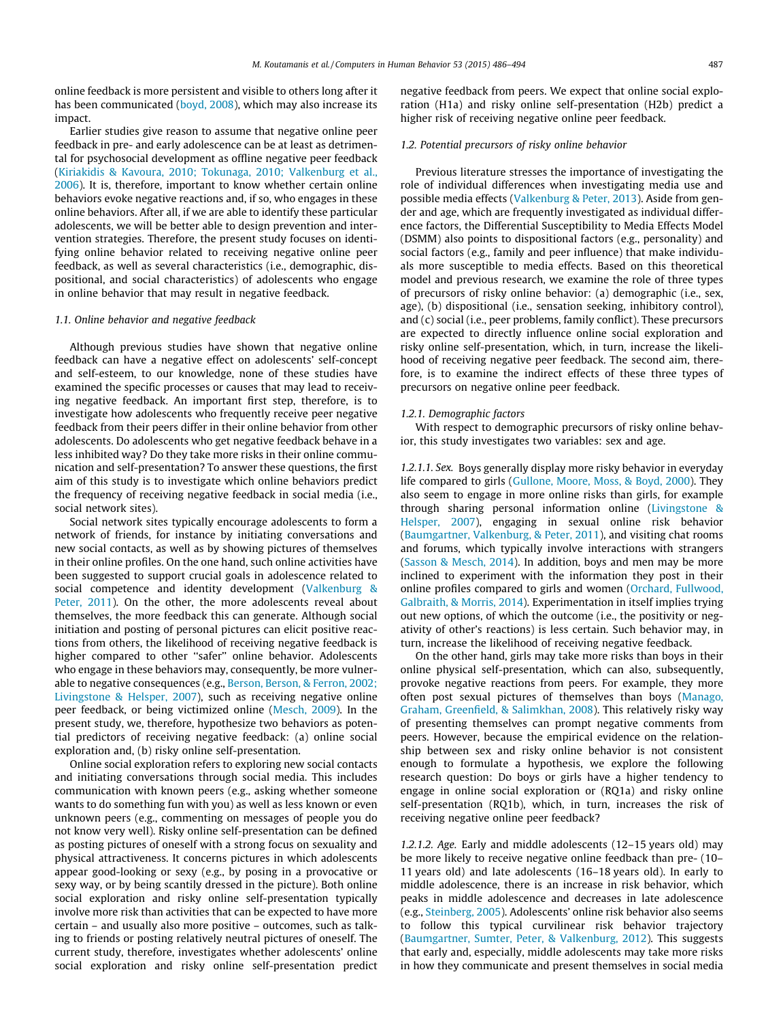online feedback is more persistent and visible to others long after it has been communicated [\(boyd, 2008\)](#page-7-0), which may also increase its impact.

Earlier studies give reason to assume that negative online peer feedback in pre- and early adolescence can be at least as detrimental for psychosocial development as offline negative peer feedback ([Kiriakidis & Kavoura, 2010; Tokunaga, 2010; Valkenburg et al.,](#page-8-0) [2006](#page-8-0)). It is, therefore, important to know whether certain online behaviors evoke negative reactions and, if so, who engages in these online behaviors. After all, if we are able to identify these particular adolescents, we will be better able to design prevention and intervention strategies. Therefore, the present study focuses on identifying online behavior related to receiving negative online peer feedback, as well as several characteristics (i.e., demographic, dispositional, and social characteristics) of adolescents who engage in online behavior that may result in negative feedback.

# 1.1. Online behavior and negative feedback

Although previous studies have shown that negative online feedback can have a negative effect on adolescents' self-concept and self-esteem, to our knowledge, none of these studies have examined the specific processes or causes that may lead to receiving negative feedback. An important first step, therefore, is to investigate how adolescents who frequently receive peer negative feedback from their peers differ in their online behavior from other adolescents. Do adolescents who get negative feedback behave in a less inhibited way? Do they take more risks in their online communication and self-presentation? To answer these questions, the first aim of this study is to investigate which online behaviors predict the frequency of receiving negative feedback in social media (i.e., social network sites).

Social network sites typically encourage adolescents to form a network of friends, for instance by initiating conversations and new social contacts, as well as by showing pictures of themselves in their online profiles. On the one hand, such online activities have been suggested to support crucial goals in adolescence related to social competence and identity development [\(Valkenburg &](#page-8-0) [Peter, 2011](#page-8-0)). On the other, the more adolescents reveal about themselves, the more feedback this can generate. Although social initiation and posting of personal pictures can elicit positive reactions from others, the likelihood of receiving negative feedback is higher compared to other "safer" online behavior. Adolescents who engage in these behaviors may, consequently, be more vulnerable to negative consequences (e.g., [Berson, Berson, & Ferron, 2002;](#page-7-0) [Livingstone & Helsper, 2007](#page-7-0)), such as receiving negative online peer feedback, or being victimized online [\(Mesch, 2009](#page-8-0)). In the present study, we, therefore, hypothesize two behaviors as potential predictors of receiving negative feedback: (a) online social exploration and, (b) risky online self-presentation.

Online social exploration refers to exploring new social contacts and initiating conversations through social media. This includes communication with known peers (e.g., asking whether someone wants to do something fun with you) as well as less known or even unknown peers (e.g., commenting on messages of people you do not know very well). Risky online self-presentation can be defined as posting pictures of oneself with a strong focus on sexuality and physical attractiveness. It concerns pictures in which adolescents appear good-looking or sexy (e.g., by posing in a provocative or sexy way, or by being scantily dressed in the picture). Both online social exploration and risky online self-presentation typically involve more risk than activities that can be expected to have more certain – and usually also more positive – outcomes, such as talking to friends or posting relatively neutral pictures of oneself. The current study, therefore, investigates whether adolescents' online social exploration and risky online self-presentation predict negative feedback from peers. We expect that online social exploration (H1a) and risky online self-presentation (H2b) predict a higher risk of receiving negative online peer feedback.

#### 1.2. Potential precursors of risky online behavior

Previous literature stresses the importance of investigating the role of individual differences when investigating media use and possible media effects ([Valkenburg & Peter, 2013](#page-8-0)). Aside from gender and age, which are frequently investigated as individual difference factors, the Differential Susceptibility to Media Effects Model (DSMM) also points to dispositional factors (e.g., personality) and social factors (e.g., family and peer influence) that make individuals more susceptible to media effects. Based on this theoretical model and previous research, we examine the role of three types of precursors of risky online behavior: (a) demographic (i.e., sex, age), (b) dispositional (i.e., sensation seeking, inhibitory control), and (c) social (i.e., peer problems, family conflict). These precursors are expected to directly influence online social exploration and risky online self-presentation, which, in turn, increase the likelihood of receiving negative peer feedback. The second aim, therefore, is to examine the indirect effects of these three types of precursors on negative online peer feedback.

#### 1.2.1. Demographic factors

With respect to demographic precursors of risky online behavior, this study investigates two variables: sex and age.

1.2.1.1. Sex. Boys generally display more risky behavior in everyday life compared to girls ([Gullone, Moore, Moss, & Boyd, 2000\)](#page-7-0). They also seem to engage in more online risks than girls, for example through sharing personal information online ([Livingstone &](#page-8-0) [Helsper, 2007\)](#page-8-0), engaging in sexual online risk behavior ([Baumgartner, Valkenburg, & Peter, 2011](#page-7-0)), and visiting chat rooms and forums, which typically involve interactions with strangers ([Sasson & Mesch, 2014\)](#page-8-0). In addition, boys and men may be more inclined to experiment with the information they post in their online profiles compared to girls and women [\(Orchard, Fullwood,](#page-8-0) [Galbraith, & Morris, 2014\)](#page-8-0). Experimentation in itself implies trying out new options, of which the outcome (i.e., the positivity or negativity of other's reactions) is less certain. Such behavior may, in turn, increase the likelihood of receiving negative feedback.

On the other hand, girls may take more risks than boys in their online physical self-presentation, which can also, subsequently, provoke negative reactions from peers. For example, they more often post sexual pictures of themselves than boys ([Manago,](#page-8-0) [Graham, Greenfield, & Salimkhan, 2008](#page-8-0)). This relatively risky way of presenting themselves can prompt negative comments from peers. However, because the empirical evidence on the relationship between sex and risky online behavior is not consistent enough to formulate a hypothesis, we explore the following research question: Do boys or girls have a higher tendency to engage in online social exploration or (RQ1a) and risky online self-presentation (RQ1b), which, in turn, increases the risk of receiving negative online peer feedback?

1.2.1.2. Age. Early and middle adolescents (12–15 years old) may be more likely to receive negative online feedback than pre- (10– 11 years old) and late adolescents (16–18 years old). In early to middle adolescence, there is an increase in risk behavior, which peaks in middle adolescence and decreases in late adolescence (e.g., [Steinberg, 2005\)](#page-8-0). Adolescents' online risk behavior also seems to follow this typical curvilinear risk behavior trajectory ([Baumgartner, Sumter, Peter, & Valkenburg, 2012](#page-7-0)). This suggests that early and, especially, middle adolescents may take more risks in how they communicate and present themselves in social media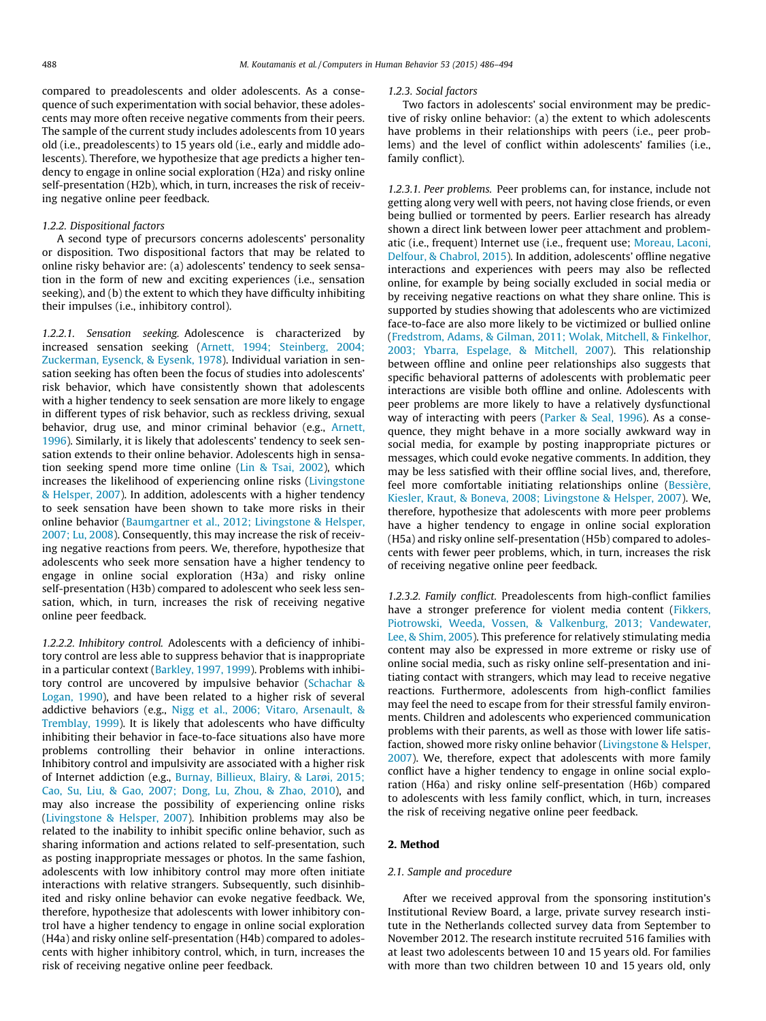compared to preadolescents and older adolescents. As a consequence of such experimentation with social behavior, these adolescents may more often receive negative comments from their peers. The sample of the current study includes adolescents from 10 years old (i.e., preadolescents) to 15 years old (i.e., early and middle adolescents). Therefore, we hypothesize that age predicts a higher tendency to engage in online social exploration (H2a) and risky online self-presentation (H2b), which, in turn, increases the risk of receiving negative online peer feedback.

#### 1.2.2. Dispositional factors

A second type of precursors concerns adolescents' personality or disposition. Two dispositional factors that may be related to online risky behavior are: (a) adolescents' tendency to seek sensation in the form of new and exciting experiences (i.e., sensation seeking), and (b) the extent to which they have difficulty inhibiting their impulses (i.e., inhibitory control).

1.2.2.1. Sensation seeking. Adolescence is characterized by increased sensation seeking [\(Arnett, 1994; Steinberg, 2004;](#page-7-0) [Zuckerman, Eysenck, & Eysenk, 1978\)](#page-7-0). Individual variation in sensation seeking has often been the focus of studies into adolescents' risk behavior, which have consistently shown that adolescents with a higher tendency to seek sensation are more likely to engage in different types of risk behavior, such as reckless driving, sexual behavior, drug use, and minor criminal behavior (e.g., [Arnett,](#page-7-0) [1996\)](#page-7-0). Similarly, it is likely that adolescents' tendency to seek sensation extends to their online behavior. Adolescents high in sensation seeking spend more time online ([Lin & Tsai, 2002\)](#page-8-0), which increases the likelihood of experiencing online risks [\(Livingstone](#page-8-0) [& Helsper, 2007\)](#page-8-0). In addition, adolescents with a higher tendency to seek sensation have been shown to take more risks in their online behavior [\(Baumgartner et al., 2012; Livingstone & Helsper,](#page-7-0) [2007; Lu, 2008](#page-7-0)). Consequently, this may increase the risk of receiving negative reactions from peers. We, therefore, hypothesize that adolescents who seek more sensation have a higher tendency to engage in online social exploration (H3a) and risky online self-presentation (H3b) compared to adolescent who seek less sensation, which, in turn, increases the risk of receiving negative online peer feedback.

1.2.2.2. Inhibitory control. Adolescents with a deficiency of inhibitory control are less able to suppress behavior that is inappropriate in a particular context ([Barkley, 1997, 1999\)](#page-7-0). Problems with inhibitory control are uncovered by impulsive behavior ([Schachar &](#page-8-0) [Logan, 1990\)](#page-8-0), and have been related to a higher risk of several addictive behaviors (e.g., [Nigg et al., 2006; Vitaro, Arsenault, &](#page-8-0) [Tremblay, 1999\)](#page-8-0). It is likely that adolescents who have difficulty inhibiting their behavior in face-to-face situations also have more problems controlling their behavior in online interactions. Inhibitory control and impulsivity are associated with a higher risk of Internet addiction (e.g., [Burnay, Billieux, Blairy, & Larøi, 2015;](#page-7-0) [Cao, Su, Liu, & Gao, 2007; Dong, Lu, Zhou, & Zhao, 2010\)](#page-7-0), and may also increase the possibility of experiencing online risks ([Livingstone & Helsper, 2007](#page-8-0)). Inhibition problems may also be related to the inability to inhibit specific online behavior, such as sharing information and actions related to self-presentation, such as posting inappropriate messages or photos. In the same fashion, adolescents with low inhibitory control may more often initiate interactions with relative strangers. Subsequently, such disinhibited and risky online behavior can evoke negative feedback. We, therefore, hypothesize that adolescents with lower inhibitory control have a higher tendency to engage in online social exploration (H4a) and risky online self-presentation (H4b) compared to adolescents with higher inhibitory control, which, in turn, increases the risk of receiving negative online peer feedback.

#### 1.2.3. Social factors

Two factors in adolescents' social environment may be predictive of risky online behavior: (a) the extent to which adolescents have problems in their relationships with peers (i.e., peer problems) and the level of conflict within adolescents' families (i.e., family conflict).

1.2.3.1. Peer problems. Peer problems can, for instance, include not getting along very well with peers, not having close friends, or even being bullied or tormented by peers. Earlier research has already shown a direct link between lower peer attachment and problematic (i.e., frequent) Internet use (i.e., frequent use; [Moreau, Laconi,](#page-8-0) [Delfour, & Chabrol, 2015](#page-8-0)). In addition, adolescents' offline negative interactions and experiences with peers may also be reflected online, for example by being socially excluded in social media or by receiving negative reactions on what they share online. This is supported by studies showing that adolescents who are victimized face-to-face are also more likely to be victimized or bullied online ([Fredstrom, Adams, & Gilman, 2011; Wolak, Mitchell, & Finkelhor,](#page-7-0) [2003; Ybarra, Espelage, & Mitchell, 2007](#page-7-0)). This relationship between offline and online peer relationships also suggests that specific behavioral patterns of adolescents with problematic peer interactions are visible both offline and online. Adolescents with peer problems are more likely to have a relatively dysfunctional way of interacting with peers ([Parker & Seal, 1996\)](#page-8-0). As a consequence, they might behave in a more socially awkward way in social media, for example by posting inappropriate pictures or messages, which could evoke negative comments. In addition, they may be less satisfied with their offline social lives, and, therefore, feel more comfortable initiating relationships online [\(Bessière,](#page-7-0) [Kiesler, Kraut, & Boneva, 2008; Livingstone & Helsper, 2007](#page-7-0)). We, therefore, hypothesize that adolescents with more peer problems have a higher tendency to engage in online social exploration (H5a) and risky online self-presentation (H5b) compared to adolescents with fewer peer problems, which, in turn, increases the risk of receiving negative online peer feedback.

1.2.3.2. Family conflict. Preadolescents from high-conflict families have a stronger preference for violent media content ([Fikkers,](#page-7-0) [Piotrowski, Weeda, Vossen, & Valkenburg, 2013; Vandewater,](#page-7-0) [Lee, & Shim, 2005\)](#page-7-0). This preference for relatively stimulating media content may also be expressed in more extreme or risky use of online social media, such as risky online self-presentation and initiating contact with strangers, which may lead to receive negative reactions. Furthermore, adolescents from high-conflict families may feel the need to escape from for their stressful family environments. Children and adolescents who experienced communication problems with their parents, as well as those with lower life satisfaction, showed more risky online behavior ([Livingstone & Helsper,](#page-8-0) [2007\)](#page-8-0). We, therefore, expect that adolescents with more family conflict have a higher tendency to engage in online social exploration (H6a) and risky online self-presentation (H6b) compared to adolescents with less family conflict, which, in turn, increases the risk of receiving negative online peer feedback.

## 2. Method

#### 2.1. Sample and procedure

After we received approval from the sponsoring institution's Institutional Review Board, a large, private survey research institute in the Netherlands collected survey data from September to November 2012. The research institute recruited 516 families with at least two adolescents between 10 and 15 years old. For families with more than two children between 10 and 15 years old, only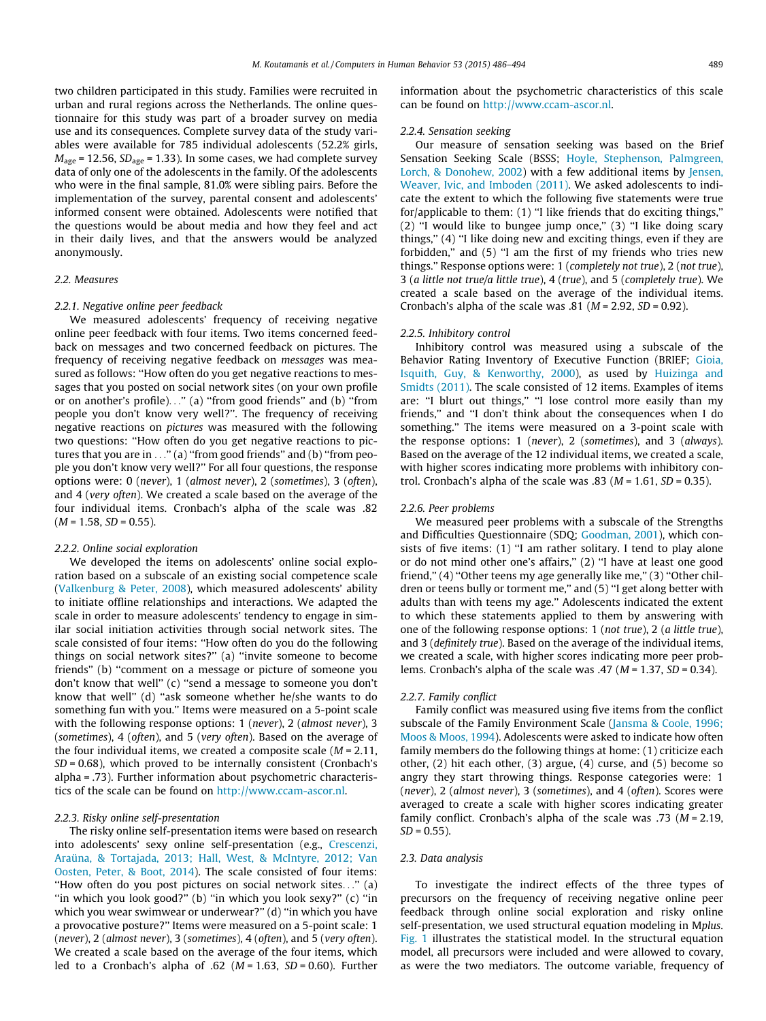two children participated in this study. Families were recruited in urban and rural regions across the Netherlands. The online questionnaire for this study was part of a broader survey on media use and its consequences. Complete survey data of the study variables were available for 785 individual adolescents (52.2% girls,  $M_{\text{age}}$  = 12.56,  $SD_{\text{age}}$  = 1.33). In some cases, we had complete survey data of only one of the adolescents in the family. Of the adolescents who were in the final sample, 81.0% were sibling pairs. Before the implementation of the survey, parental consent and adolescents' informed consent were obtained. Adolescents were notified that the questions would be about media and how they feel and act in their daily lives, and that the answers would be analyzed anonymously.

# 2.2. Measures

#### 2.2.1. Negative online peer feedback

We measured adolescents' frequency of receiving negative online peer feedback with four items. Two items concerned feedback on messages and two concerned feedback on pictures. The frequency of receiving negative feedback on messages was measured as follows: ''How often do you get negative reactions to messages that you posted on social network sites (on your own profile or on another's profile)...'' (a) ''from good friends'' and (b) ''from people you don't know very well?''. The frequency of receiving negative reactions on pictures was measured with the following two questions: ''How often do you get negative reactions to pictures that you are in ..." (a) "from good friends" and (b) "from people you don't know very well?'' For all four questions, the response options were: 0 (never), 1 (almost never), 2 (sometimes), 3 (often), and 4 (very often). We created a scale based on the average of the four individual items. Cronbach's alpha of the scale was .82  $(M = 1.58, SD = 0.55)$ .

#### 2.2.2. Online social exploration

We developed the items on adolescents' online social exploration based on a subscale of an existing social competence scale ([Valkenburg & Peter, 2008](#page-8-0)), which measured adolescents' ability to initiate offline relationships and interactions. We adapted the scale in order to measure adolescents' tendency to engage in similar social initiation activities through social network sites. The scale consisted of four items: ''How often do you do the following things on social network sites?'' (a) ''invite someone to become friends'' (b) ''comment on a message or picture of someone you don't know that well'' (c) ''send a message to someone you don't know that well'' (d) ''ask someone whether he/she wants to do something fun with you.'' Items were measured on a 5-point scale with the following response options: 1 (never), 2 (almost never), 3 (sometimes), 4 (often), and 5 (very often). Based on the average of the four individual items, we created a composite scale  $(M = 2.11)$ ,  $SD = 0.68$ ), which proved to be internally consistent (Cronbach's alpha = .73). Further information about psychometric characteristics of the scale can be found on <http://www.ccam-ascor.nl>.

# 2.2.3. Risky online self-presentation

The risky online self-presentation items were based on research into adolescents' sexy online self-presentation (e.g., [Crescenzi,](#page-7-0) [Araüna, & Tortajada, 2013; Hall, West, & McIntyre, 2012; Van](#page-7-0) [Oosten, Peter, & Boot, 2014](#page-7-0)). The scale consisted of four items: ''How often do you post pictures on social network sites...'' (a) "in which you look good?" (b) "in which you look sexy?" (c) "in which you wear swimwear or underwear?" (d) "in which you have a provocative posture?'' Items were measured on a 5-point scale: 1 (never), 2 (almost never), 3 (sometimes), 4 (often), and 5 (very often). We created a scale based on the average of the four items, which led to a Cronbach's alpha of .62 ( $M = 1.63$ ,  $SD = 0.60$ ). Further information about the psychometric characteristics of this scale can be found on <http://www.ccam-ascor.nl>.

#### 2.2.4. Sensation seeking

Our measure of sensation seeking was based on the Brief Sensation Seeking Scale (BSSS; [Hoyle, Stephenson, Palmgreen,](#page-8-0) [Lorch, & Donohew, 2002](#page-8-0)) with a few additional items by [Jensen,](#page-8-0) [Weaver, Ivic, and Imboden \(2011\).](#page-8-0) We asked adolescents to indicate the extent to which the following five statements were true for/applicable to them: (1) ''I like friends that do exciting things,'' (2) ''I would like to bungee jump once,'' (3) ''I like doing scary things," (4) "I like doing new and exciting things, even if they are forbidden,'' and (5) ''I am the first of my friends who tries new things.'' Response options were: 1 (completely not true), 2 (not true), 3 (a little not true/a little true), 4 (true), and 5 (completely true). We created a scale based on the average of the individual items. Cronbach's alpha of the scale was  $.81$  ( $M = 2.92$ ,  $SD = 0.92$ ).

#### 2.2.5. Inhibitory control

Inhibitory control was measured using a subscale of the Behavior Rating Inventory of Executive Function (BRIEF; [Gioia,](#page-7-0) [Isquith, Guy, & Kenworthy, 2000](#page-7-0)), as used by [Huizinga and](#page-8-0) [Smidts \(2011\).](#page-8-0) The scale consisted of 12 items. Examples of items are: "I blurt out things," "I lose control more easily than my friends,'' and ''I don't think about the consequences when I do something.'' The items were measured on a 3-point scale with the response options: 1 (never), 2 (sometimes), and 3 (always). Based on the average of the 12 individual items, we created a scale, with higher scores indicating more problems with inhibitory control. Cronbach's alpha of the scale was .83 ( $M = 1.61$ , SD = 0.35).

#### 2.2.6. Peer problems

We measured peer problems with a subscale of the Strengths and Difficulties Questionnaire (SDQ; [Goodman, 2001](#page-7-0)), which consists of five items: (1) "I am rather solitary. I tend to play alone or do not mind other one's affairs,'' (2) ''I have at least one good friend," (4) "Other teens my age generally like me," (3) "Other children or teens bully or torment me,'' and (5) ''I get along better with adults than with teens my age.'' Adolescents indicated the extent to which these statements applied to them by answering with one of the following response options: 1 (not true), 2 (a little true), and 3 (definitely true). Based on the average of the individual items, we created a scale, with higher scores indicating more peer problems. Cronbach's alpha of the scale was .47 ( $M = 1.37$ ,  $SD = 0.34$ ).

## 2.2.7. Family conflict

Family conflict was measured using five items from the conflict subscale of the Family Environment Scale ([Jansma & Coole, 1996;](#page-8-0) [Moos & Moos, 1994\)](#page-8-0). Adolescents were asked to indicate how often family members do the following things at home: (1) criticize each other, (2) hit each other, (3) argue, (4) curse, and (5) become so angry they start throwing things. Response categories were: 1 (never), 2 (almost never), 3 (sometimes), and 4 (often). Scores were averaged to create a scale with higher scores indicating greater family conflict. Cronbach's alpha of the scale was .73 ( $M = 2.19$ ,  $SD = 0.55$ ).

#### 2.3. Data analysis

To investigate the indirect effects of the three types of precursors on the frequency of receiving negative online peer feedback through online social exploration and risky online self-presentation, we used structural equation modeling in Mplus. [Fig. 1](#page-4-0) illustrates the statistical model. In the structural equation model, all precursors were included and were allowed to covary, as were the two mediators. The outcome variable, frequency of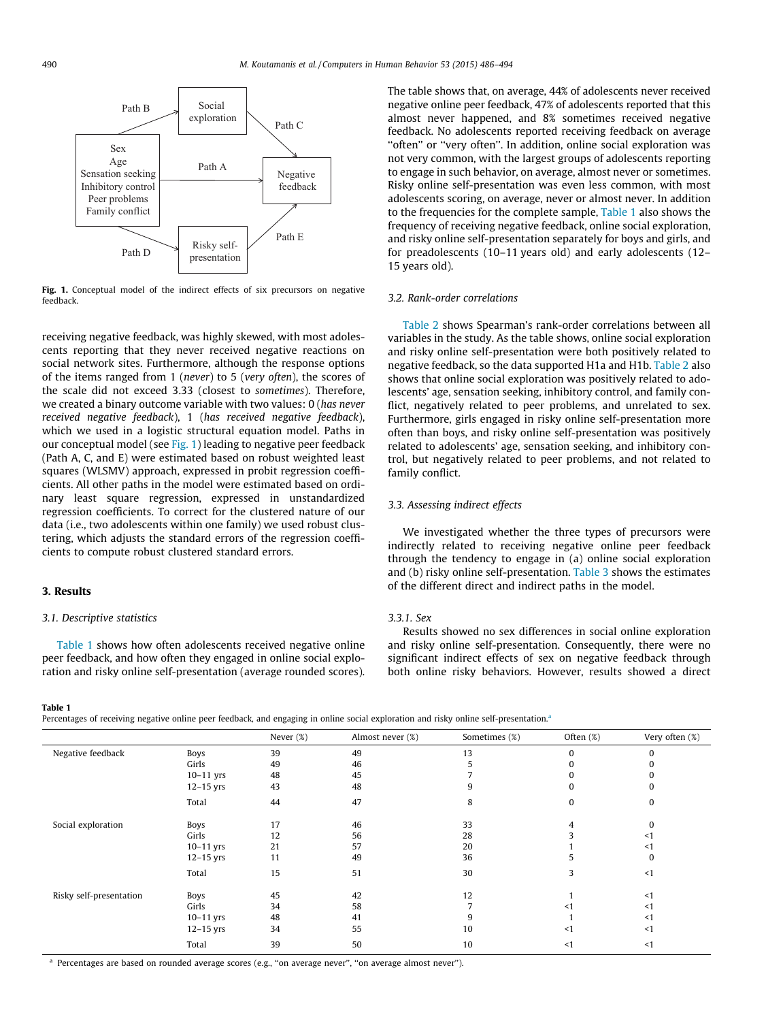<span id="page-4-0"></span>

Fig. 1. Conceptual model of the indirect effects of six precursors on negative feedback.

receiving negative feedback, was highly skewed, with most adolescents reporting that they never received negative reactions on social network sites. Furthermore, although the response options of the items ranged from 1 (never) to 5 (very often), the scores of the scale did not exceed 3.33 (closest to sometimes). Therefore, we created a binary outcome variable with two values: 0 (has never received negative feedback), 1 (has received negative feedback), which we used in a logistic structural equation model. Paths in our conceptual model (see Fig. 1) leading to negative peer feedback (Path A, C, and E) were estimated based on robust weighted least squares (WLSMV) approach, expressed in probit regression coefficients. All other paths in the model were estimated based on ordinary least square regression, expressed in unstandardized regression coefficients. To correct for the clustered nature of our data (i.e., two adolescents within one family) we used robust clustering, which adjusts the standard errors of the regression coefficients to compute robust clustered standard errors.

# 3. Results

#### 3.1. Descriptive statistics

Table 1 shows how often adolescents received negative online peer feedback, and how often they engaged in online social exploration and risky online self-presentation (average rounded scores). The table shows that, on average, 44% of adolescents never received negative online peer feedback, 47% of adolescents reported that this almost never happened, and 8% sometimes received negative feedback. No adolescents reported receiving feedback on average "often" or "very often". In addition, online social exploration was not very common, with the largest groups of adolescents reporting to engage in such behavior, on average, almost never or sometimes. Risky online self-presentation was even less common, with most adolescents scoring, on average, never or almost never. In addition to the frequencies for the complete sample, Table 1 also shows the frequency of receiving negative feedback, online social exploration, and risky online self-presentation separately for boys and girls, and for preadolescents (10–11 years old) and early adolescents (12– 15 years old).

#### 3.2. Rank-order correlations

[Table 2](#page-5-0) shows Spearman's rank-order correlations between all variables in the study. As the table shows, online social exploration and risky online self-presentation were both positively related to negative feedback, so the data supported H1a and H1b. [Table 2](#page-5-0) also shows that online social exploration was positively related to adolescents' age, sensation seeking, inhibitory control, and family conflict, negatively related to peer problems, and unrelated to sex. Furthermore, girls engaged in risky online self-presentation more often than boys, and risky online self-presentation was positively related to adolescents' age, sensation seeking, and inhibitory control, but negatively related to peer problems, and not related to family conflict.

#### 3.3. Assessing indirect effects

We investigated whether the three types of precursors were indirectly related to receiving negative online peer feedback through the tendency to engage in (a) online social exploration and (b) risky online self-presentation. [Table 3](#page-5-0) shows the estimates of the different direct and indirect paths in the model.

#### 3.3.1. Sex

Results showed no sex differences in social online exploration and risky online self-presentation. Consequently, there were no significant indirect effects of sex on negative feedback through both online risky behaviors. However, results showed a direct

#### Table 1

Percentages of receiving negative online peer feedback, and engaging in online social exploration and risky online self-presentation.<sup>a</sup>

|                         |             | Never $(\%)$ | Almost never (%) | Sometimes (%) | Often $(\%)$ | Very often (%) |
|-------------------------|-------------|--------------|------------------|---------------|--------------|----------------|
| Negative feedback       | Boys        | 39           | 49               | 13            | $\Omega$     | $\Omega$       |
|                         | Girls       | 49           | 46               |               | 0            |                |
|                         | $10-11$ yrs | 48           | 45               |               |              |                |
|                         | $12-15$ yrs | 43           | 48               | 9             | 0            | 0              |
|                         | Total       | 44           | 47               | 8             | $\mathbf{0}$ | 0              |
| Social exploration      | Boys        | 17           | 46               | 33            | 4            | 0              |
|                         | Girls       | 12           | 56               | 28            |              | <1             |
|                         | $10-11$ yrs | 21           | 57               | 20            |              | $\leq$ 1       |
|                         | $12-15$ yrs | 11           | 49               | 36            | ר            | $\bf{0}$       |
|                         | Total       | 15           | 51               | 30            | 3            | $\leq$ 1       |
| Risky self-presentation | <b>Boys</b> | 45           | 42               | 12            |              | $\leq$ 1       |
|                         | Girls       | 34           | 58               |               | <1           | $\leq$ 1       |
|                         | $10-11$ yrs | 48           | 41               |               |              | $\leq$ 1       |
|                         | $12-15$ yrs | 34           | 55               | 10            | $\leq$ 1     | $\leq 1$       |
|                         | Total       | 39           | 50               | 10            | $\leq$ 1     | $\leq$ 1       |

<sup>a</sup> Percentages are based on rounded average scores (e.g., ''on average never'', ''on average almost never'').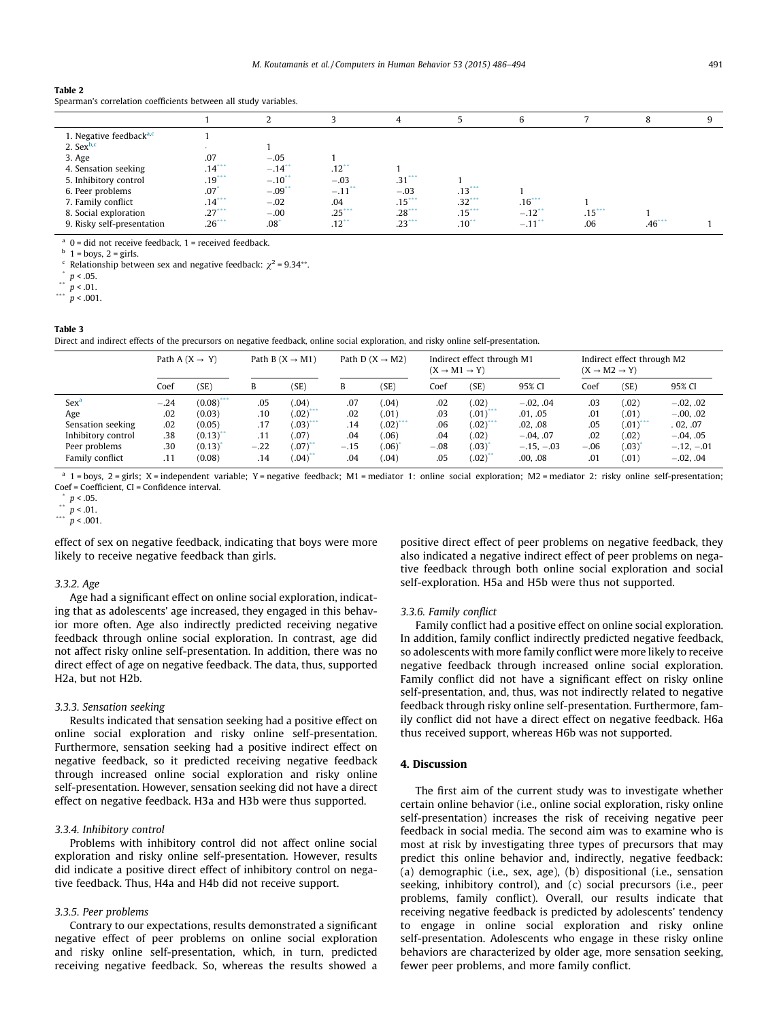#### <span id="page-5-0"></span>Table 2

Spearman's correlation coefficients between all study variables.

|                                                                                                                                                                                                                            |                                                                        |                                                                                              |                                                                                                 | 4                                                     |                                                         | 6                                                        |                 | 8        |  |
|----------------------------------------------------------------------------------------------------------------------------------------------------------------------------------------------------------------------------|------------------------------------------------------------------------|----------------------------------------------------------------------------------------------|-------------------------------------------------------------------------------------------------|-------------------------------------------------------|---------------------------------------------------------|----------------------------------------------------------|-----------------|----------|--|
| 1. Negative feedback <sup>a,c</sup><br>2. $Sex^b$ <sup>c</sup><br>3. Age<br>4. Sensation seeking<br>5. Inhibitory control<br>6. Peer problems<br>7. Family conflict<br>8. Social exploration<br>9. Risky self-presentation | .07<br>$.14***$<br>$.19***$<br>.07<br>$.14***$<br>$.27***$<br>$.26***$ | $-.05$<br>$-.14"$<br>$-.10"$<br>$-.09$ <sup>**</sup><br>$-.02$<br>$-.00$<br>.08 <sup>°</sup> | $.12$ <sup>**</sup><br>$-.03$<br>$-.11$ <sup>**</sup><br>.04<br>$.25***$<br>$.12$ <sup>**</sup> | $.31***$<br>$-.03$<br>$15***$<br>$.28***$<br>$.23***$ | $.13***$<br>$.32***$<br>$.15***$<br>$.10$ <sup>**</sup> | $.16***$<br>$-.12$ <sup>**</sup><br>$-.11$ <sup>**</sup> | $.15***$<br>.06 | $.46***$ |  |

 $a$  0 = did not receive feedback, 1 = received feedback.

 $<sup>b</sup>$  1 = boys, 2 = girls.</sup>

<sup>c</sup> Relationship between sex and negative feedback:  $\chi^2$  = 9.34<sup>\*</sup><sup>\*</sup>. *p* < .05.

 $p < .01$ .

\*\*\*  $p$  < .001.

#### Table 3

Direct and indirect effects of the precursors on negative feedback, online social exploration, and risky online self-presentation.

|                    | Path A $(X \rightarrow Y)$ |                         | Path B ( $X \rightarrow M1$ ) |               | Path D ( $X \rightarrow M2$ ) |                         | Indirect effect through M1<br>$(X \rightarrow M1 \rightarrow Y)$ |               |             | Indirect effect through M2<br>$(X \rightarrow M2 \rightarrow Y)$ |               |             |
|--------------------|----------------------------|-------------------------|-------------------------------|---------------|-------------------------------|-------------------------|------------------------------------------------------------------|---------------|-------------|------------------------------------------------------------------|---------------|-------------|
|                    | Coef                       | (SE)                    | B                             | (SE)          | B                             | (SE)                    | Coef                                                             | (SE)          | 95% CI      | Coef                                                             | (SE)          | 95% CI      |
| Sex <sup>a</sup>   | $-.24$                     | $(0.08)$ <sup>***</sup> | .05                           | .04)          | .07                           | .04)                    | .02                                                              | (.02)         | $-.02, .04$ | .03                                                              | (.02)         | $-.02, .02$ |
| Age                | .02                        | (0.03)                  | .10                           | $(.02)^{***}$ | .02                           | (.01)                   | .03                                                              | $(.01)^{***}$ | .01, .05    | .01                                                              | (.01)         | $-.00, .02$ |
| Sensation seeking  | .02                        | (0.05)                  | .17                           | $(.03)^{***}$ | .14                           | $(.02)$ <sup>****</sup> | .06                                                              | $(.02)^{***}$ | .02, .08    | .05                                                              | $(.01)^{***}$ | .02, .07    |
| Inhibitory control | .38                        | (0.13)                  | .11                           | (07)          | .04                           | (0.06)                  | .04                                                              | (.02)         | $-.04, .07$ | .02                                                              | (.02)         | $-.04, .05$ |
| Peer problems      | .30                        | (0.13)                  | $-.22$                        | $(.07)^{**}$  | $-.15$                        | .06)                    | $-.08$                                                           | (.03)         | $-.15.-.03$ | $-.06$                                                           | (.03)         | $-.12.-.01$ |
| Family conflict    | .11                        | (0.08)                  | .14                           | (.04)         | .04                           | (0.04)                  | .05                                                              | $(0.02)^{11}$ | .00, .08    | .01                                                              | (.01)         | $-.02, .04$ |

 $a$  1 = boys, 2 = girls; X = independent variable; Y = negative feedback; M1 = mediator 1: online social exploration; M2 = mediator 2: risky online self-presentation; Coef = Coefficient, CI = Confidence interval.

# \*  $p < .05$ .

 $p < .01$ .

# \*\*\*  $p$  < .001.

effect of sex on negative feedback, indicating that boys were more likely to receive negative feedback than girls.

#### 3.3.2. Age

Age had a significant effect on online social exploration, indicating that as adolescents' age increased, they engaged in this behavior more often. Age also indirectly predicted receiving negative feedback through online social exploration. In contrast, age did not affect risky online self-presentation. In addition, there was no direct effect of age on negative feedback. The data, thus, supported H2a, but not H2b.

#### 3.3.3. Sensation seeking

Results indicated that sensation seeking had a positive effect on online social exploration and risky online self-presentation. Furthermore, sensation seeking had a positive indirect effect on negative feedback, so it predicted receiving negative feedback through increased online social exploration and risky online self-presentation. However, sensation seeking did not have a direct effect on negative feedback. H3a and H3b were thus supported.

#### 3.3.4. Inhibitory control

Problems with inhibitory control did not affect online social exploration and risky online self-presentation. However, results did indicate a positive direct effect of inhibitory control on negative feedback. Thus, H4a and H4b did not receive support.

#### 3.3.5. Peer problems

Contrary to our expectations, results demonstrated a significant negative effect of peer problems on online social exploration and risky online self-presentation, which, in turn, predicted receiving negative feedback. So, whereas the results showed a

positive direct effect of peer problems on negative feedback, they also indicated a negative indirect effect of peer problems on negative feedback through both online social exploration and social self-exploration. H5a and H5b were thus not supported.

#### 3.3.6. Family conflict

Family conflict had a positive effect on online social exploration. In addition, family conflict indirectly predicted negative feedback, so adolescents with more family conflict were more likely to receive negative feedback through increased online social exploration. Family conflict did not have a significant effect on risky online self-presentation, and, thus, was not indirectly related to negative feedback through risky online self-presentation. Furthermore, family conflict did not have a direct effect on negative feedback. H6a thus received support, whereas H6b was not supported.

# 4. Discussion

The first aim of the current study was to investigate whether certain online behavior (i.e., online social exploration, risky online self-presentation) increases the risk of receiving negative peer feedback in social media. The second aim was to examine who is most at risk by investigating three types of precursors that may predict this online behavior and, indirectly, negative feedback: (a) demographic (i.e., sex, age), (b) dispositional (i.e., sensation seeking, inhibitory control), and (c) social precursors (i.e., peer problems, family conflict). Overall, our results indicate that receiving negative feedback is predicted by adolescents' tendency to engage in online social exploration and risky online self-presentation. Adolescents who engage in these risky online behaviors are characterized by older age, more sensation seeking, fewer peer problems, and more family conflict.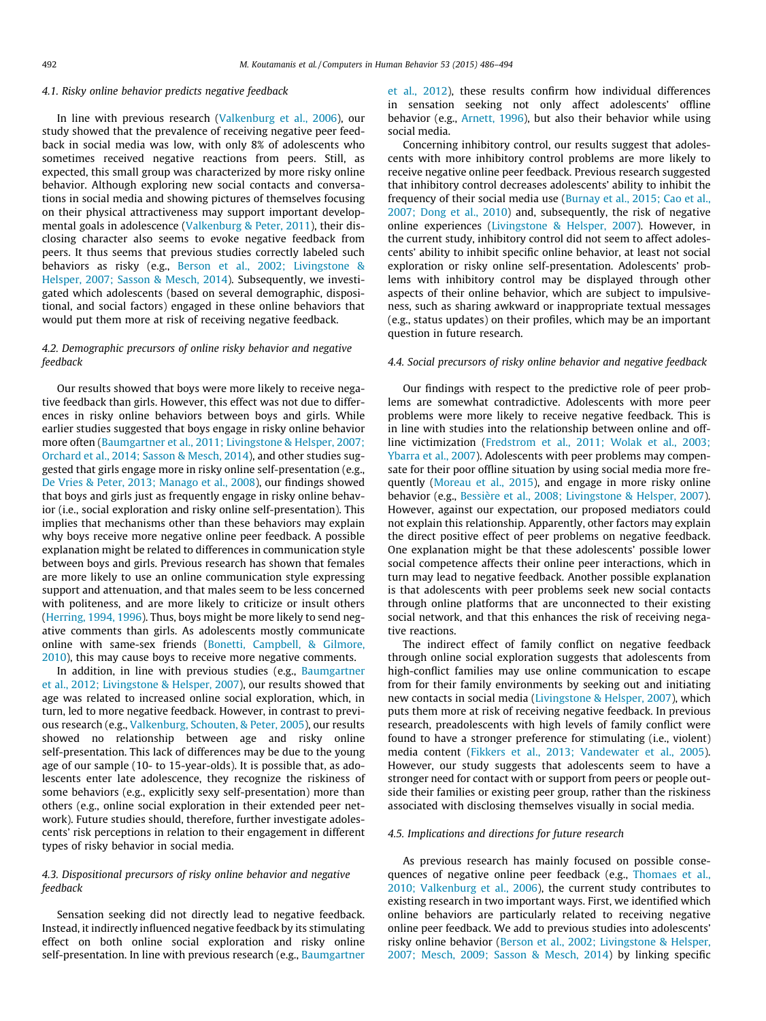#### 4.1. Risky online behavior predicts negative feedback

In line with previous research [\(Valkenburg et al., 2006](#page-8-0)), our study showed that the prevalence of receiving negative peer feedback in social media was low, with only 8% of adolescents who sometimes received negative reactions from peers. Still, as expected, this small group was characterized by more risky online behavior. Although exploring new social contacts and conversations in social media and showing pictures of themselves focusing on their physical attractiveness may support important developmental goals in adolescence ([Valkenburg & Peter, 2011\)](#page-8-0), their disclosing character also seems to evoke negative feedback from peers. It thus seems that previous studies correctly labeled such behaviors as risky (e.g., [Berson et al., 2002; Livingstone &](#page-7-0) [Helsper, 2007; Sasson & Mesch, 2014](#page-7-0)). Subsequently, we investigated which adolescents (based on several demographic, dispositional, and social factors) engaged in these online behaviors that would put them more at risk of receiving negative feedback.

# 4.2. Demographic precursors of online risky behavior and negative feedback

Our results showed that boys were more likely to receive negative feedback than girls. However, this effect was not due to differences in risky online behaviors between boys and girls. While earlier studies suggested that boys engage in risky online behavior more often [\(Baumgartner et al., 2011; Livingstone & Helsper, 2007;](#page-7-0) [Orchard et al., 2014; Sasson & Mesch, 2014](#page-7-0)), and other studies suggested that girls engage more in risky online self-presentation (e.g., [De Vries & Peter, 2013; Manago et al., 2008\)](#page-7-0), our findings showed that boys and girls just as frequently engage in risky online behavior (i.e., social exploration and risky online self-presentation). This implies that mechanisms other than these behaviors may explain why boys receive more negative online peer feedback. A possible explanation might be related to differences in communication style between boys and girls. Previous research has shown that females are more likely to use an online communication style expressing support and attenuation, and that males seem to be less concerned with politeness, and are more likely to criticize or insult others ([Herring, 1994, 1996](#page-8-0)). Thus, boys might be more likely to send negative comments than girls. As adolescents mostly communicate online with same-sex friends ([Bonetti, Campbell, & Gilmore,](#page-7-0) [2010\)](#page-7-0), this may cause boys to receive more negative comments.

In addition, in line with previous studies (e.g., [Baumgartner](#page-7-0) [et al., 2012; Livingstone & Helsper, 2007](#page-7-0)), our results showed that age was related to increased online social exploration, which, in turn, led to more negative feedback. However, in contrast to previous research (e.g., [Valkenburg, Schouten, & Peter, 2005\)](#page-8-0), our results showed no relationship between age and risky online self-presentation. This lack of differences may be due to the young age of our sample (10- to 15-year-olds). It is possible that, as adolescents enter late adolescence, they recognize the riskiness of some behaviors (e.g., explicitly sexy self-presentation) more than others (e.g., online social exploration in their extended peer network). Future studies should, therefore, further investigate adolescents' risk perceptions in relation to their engagement in different types of risky behavior in social media.

# 4.3. Dispositional precursors of risky online behavior and negative feedback

Sensation seeking did not directly lead to negative feedback. Instead, it indirectly influenced negative feedback by its stimulating effect on both online social exploration and risky online self-presentation. In line with previous research (e.g., [Baumgartner](#page-7-0) [et al., 2012](#page-7-0)), these results confirm how individual differences in sensation seeking not only affect adolescents' offline behavior (e.g., [Arnett, 1996](#page-7-0)), but also their behavior while using social media.

Concerning inhibitory control, our results suggest that adolescents with more inhibitory control problems are more likely to receive negative online peer feedback. Previous research suggested that inhibitory control decreases adolescents' ability to inhibit the frequency of their social media use ([Burnay et al., 2015; Cao et al.,](#page-7-0) [2007; Dong et al., 2010\)](#page-7-0) and, subsequently, the risk of negative online experiences [\(Livingstone & Helsper, 2007](#page-8-0)). However, in the current study, inhibitory control did not seem to affect adolescents' ability to inhibit specific online behavior, at least not social exploration or risky online self-presentation. Adolescents' problems with inhibitory control may be displayed through other aspects of their online behavior, which are subject to impulsiveness, such as sharing awkward or inappropriate textual messages (e.g., status updates) on their profiles, which may be an important question in future research.

#### 4.4. Social precursors of risky online behavior and negative feedback

Our findings with respect to the predictive role of peer problems are somewhat contradictive. Adolescents with more peer problems were more likely to receive negative feedback. This is in line with studies into the relationship between online and offline victimization ([Fredstrom et al., 2011; Wolak et al., 2003;](#page-7-0) [Ybarra et al., 2007](#page-7-0)). Adolescents with peer problems may compensate for their poor offline situation by using social media more frequently ([Moreau et al., 2015\)](#page-8-0), and engage in more risky online behavior (e.g., [Bessière et al., 2008; Livingstone & Helsper, 2007\)](#page-7-0). However, against our expectation, our proposed mediators could not explain this relationship. Apparently, other factors may explain the direct positive effect of peer problems on negative feedback. One explanation might be that these adolescents' possible lower social competence affects their online peer interactions, which in turn may lead to negative feedback. Another possible explanation is that adolescents with peer problems seek new social contacts through online platforms that are unconnected to their existing social network, and that this enhances the risk of receiving negative reactions.

The indirect effect of family conflict on negative feedback through online social exploration suggests that adolescents from high-conflict families may use online communication to escape from for their family environments by seeking out and initiating new contacts in social media [\(Livingstone & Helsper, 2007](#page-8-0)), which puts them more at risk of receiving negative feedback. In previous research, preadolescents with high levels of family conflict were found to have a stronger preference for stimulating (i.e., violent) media content [\(Fikkers et al., 2013; Vandewater et al., 2005\)](#page-7-0). However, our study suggests that adolescents seem to have a stronger need for contact with or support from peers or people outside their families or existing peer group, rather than the riskiness associated with disclosing themselves visually in social media.

#### 4.5. Implications and directions for future research

As previous research has mainly focused on possible consequences of negative online peer feedback (e.g., [Thomaes et al.,](#page-8-0) [2010; Valkenburg et al., 2006](#page-8-0)), the current study contributes to existing research in two important ways. First, we identified which online behaviors are particularly related to receiving negative online peer feedback. We add to previous studies into adolescents' risky online behavior [\(Berson et al., 2002; Livingstone & Helsper,](#page-7-0) [2007; Mesch, 2009; Sasson & Mesch, 2014](#page-7-0)) by linking specific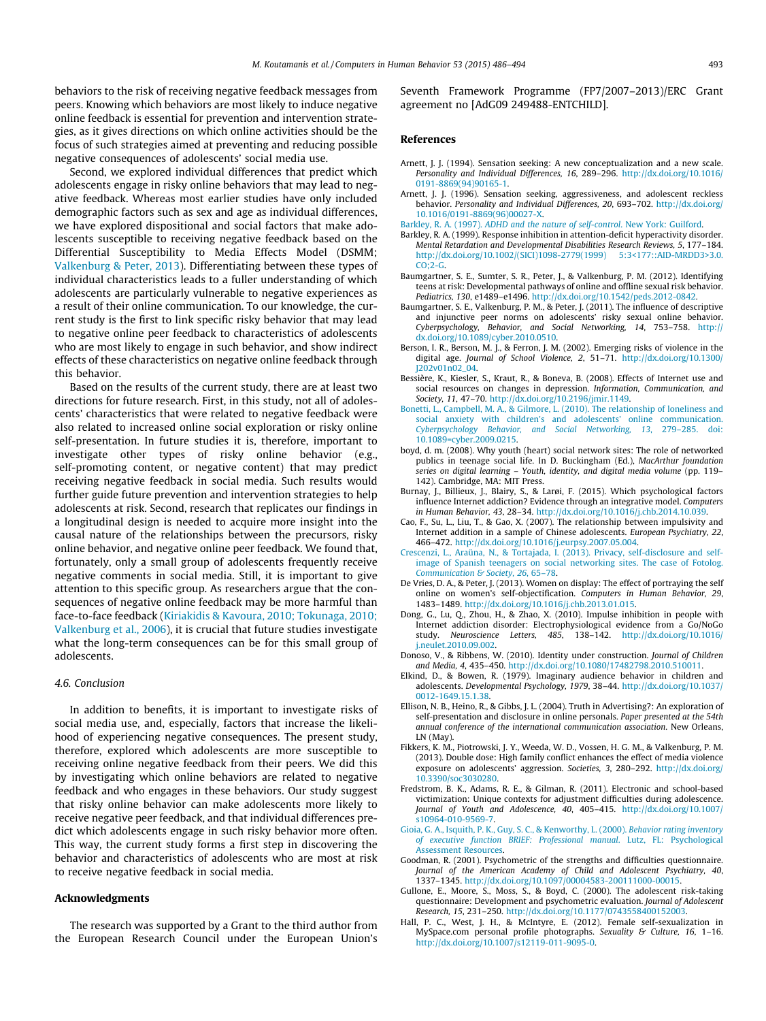<span id="page-7-0"></span>behaviors to the risk of receiving negative feedback messages from peers. Knowing which behaviors are most likely to induce negative online feedback is essential for prevention and intervention strategies, as it gives directions on which online activities should be the focus of such strategies aimed at preventing and reducing possible negative consequences of adolescents' social media use.

Second, we explored individual differences that predict which adolescents engage in risky online behaviors that may lead to negative feedback. Whereas most earlier studies have only included demographic factors such as sex and age as individual differences, we have explored dispositional and social factors that make adolescents susceptible to receiving negative feedback based on the Differential Susceptibility to Media Effects Model (DSMM; [Valkenburg & Peter, 2013\)](#page-8-0). Differentiating between these types of individual characteristics leads to a fuller understanding of which adolescents are particularly vulnerable to negative experiences as a result of their online communication. To our knowledge, the current study is the first to link specific risky behavior that may lead to negative online peer feedback to characteristics of adolescents who are most likely to engage in such behavior, and show indirect effects of these characteristics on negative online feedback through this behavior.

Based on the results of the current study, there are at least two directions for future research. First, in this study, not all of adolescents' characteristics that were related to negative feedback were also related to increased online social exploration or risky online self-presentation. In future studies it is, therefore, important to investigate other types of risky online behavior (e.g., self-promoting content, or negative content) that may predict receiving negative feedback in social media. Such results would further guide future prevention and intervention strategies to help adolescents at risk. Second, research that replicates our findings in a longitudinal design is needed to acquire more insight into the causal nature of the relationships between the precursors, risky online behavior, and negative online peer feedback. We found that, fortunately, only a small group of adolescents frequently receive negative comments in social media. Still, it is important to give attention to this specific group. As researchers argue that the consequences of negative online feedback may be more harmful than face-to-face feedback ([Kiriakidis & Kavoura, 2010; Tokunaga, 2010;](#page-8-0) [Valkenburg et al., 2006](#page-8-0)), it is crucial that future studies investigate what the long-term consequences can be for this small group of adolescents.

#### 4.6. Conclusion

In addition to benefits, it is important to investigate risks of social media use, and, especially, factors that increase the likelihood of experiencing negative consequences. The present study, therefore, explored which adolescents are more susceptible to receiving online negative feedback from their peers. We did this by investigating which online behaviors are related to negative feedback and who engages in these behaviors. Our study suggest that risky online behavior can make adolescents more likely to receive negative peer feedback, and that individual differences predict which adolescents engage in such risky behavior more often. This way, the current study forms a first step in discovering the behavior and characteristics of adolescents who are most at risk to receive negative feedback in social media.

#### Acknowledgments

The research was supported by a Grant to the third author from the European Research Council under the European Union's Seventh Framework Programme (FP7/2007–2013)/ERC Grant agreement no [AdG09 249488-ENTCHILD].

#### References

- Arnett, J. J. (1994). Sensation seeking: A new conceptualization and a new scale. Personality and Individual Differences, 16, 289–296. [http://dx.doi.org/10.1016/](http://dx.doi.org/10.1016/0191-8869(94)90165-1) [0191-8869\(94\)90165-1.](http://dx.doi.org/10.1016/0191-8869(94)90165-1)
- Arnett, J. J. (1996). Sensation seeking, aggressiveness, and adolescent reckless behavior. Personality and Individual Differences, 20, 693–702. [http://dx.doi.org/](http://dx.doi.org/10.1016/0191-8869(96)00027-X) [10.1016/0191-8869\(96\)00027-X.](http://dx.doi.org/10.1016/0191-8869(96)00027-X)
- Barkley, R. A. (1997). [ADHD and the nature of self-control](http://refhub.elsevier.com/S0747-5632(15)30029-7/h0015). New York: Guilford.
- Barkley, R. A. (1999). Response inhibition in attention-deficit hyperactivity disorder. Mental Retardation and Developmental Disabilities Research Reviews, 5, 177–184. [http://dx.doi.org/10.1002/\(SICI\)1098-2779\(1999\) 5:3<177::AID-MRDD3>3.0.](http://dx.doi.org/10.1002/(SICI)1098-2779(1999)5:3<177::AID-MRDD3>3.0.CO;2-G)  $CO:2-G.$
- Baumgartner, S. E., Sumter, S. R., Peter, J., & Valkenburg, P. M. (2012). Identifying teens at risk: Developmental pathways of online and offline sexual risk behavior. Pediatrics, 130, e1489–e1496. <http://dx.doi.org/10.1542/peds.2012-0842>.
- Baumgartner, S. E., Valkenburg, P. M., & Peter, J. (2011). The influence of descriptive and injunctive peer norms on adolescents' risky sexual online behavior. Cyberpsychology, Behavior, and Social Networking, 14, 753–758. [http://](http://dx.doi.org/10.1089/cyber.2010.0510) [dx.doi.org/10.1089/cyber.2010.0510.](http://dx.doi.org/10.1089/cyber.2010.0510)
- Berson, I. R., Berson, M. J., & Ferron, J. M. (2002). Emerging risks of violence in the digital age. Journal of School Violence, 2, 51–71. [http://dx.doi.org/10.1300/](http://dx.doi.org/10.1300/J202v01n02_04) [J202v01n02\\_04](http://dx.doi.org/10.1300/J202v01n02_04).
- Bessière, K., Kiesler, S., Kraut, R., & Boneva, B. (2008). Effects of Internet use and social resources on changes in depression. Information, Communication, and Society, 11, 47–70. <http://dx.doi.org/10.2196/jmir.1149>.
- [Bonetti, L., Campbell, M. A., & Gilmore, L. \(2010\). The relationship of loneliness and](http://refhub.elsevier.com/S0747-5632(15)30029-7/h0045) [social anxiety with children's and adolescents' online communication.](http://refhub.elsevier.com/S0747-5632(15)30029-7/h0045) [Cyberpsychology Behavior, and Social Networking, 13](http://refhub.elsevier.com/S0747-5632(15)30029-7/h0045), 279–285. doi: [10.1089=cyber.2009.0215](http://refhub.elsevier.com/S0747-5632(15)30029-7/h0045).
- boyd, d. m. (2008). Why youth (heart) social network sites: The role of networked publics in teenage social life. In D. Buckingham (Ed.), MacArthur foundation series on digital learning – Youth, identity, and digital media volume (pp. 119– 142). Cambridge, MA: MIT Press.
- Burnay, J., Billieux, J., Blairy, S., & Larøi, F. (2015). Which psychological factors influence Internet addiction? Evidence through an integrative model. Computers in Human Behavior, 43, 28–34. <http://dx.doi.org/10.1016/j.chb.2014.10.039>.
- Cao, F., Su, L., Liu, T., & Gao, X. (2007). The relationship between impulsivity and Internet addition in a sample of Chinese adolescents. European Psychiatry, 22, 466–472. <http://dx.doi.org/10.1016/j.eurpsy.2007.05.004>.
- [Crescenzi, L., Araüna, N., & Tortajada, I. \(2013\). Privacy, self-disclosure and self](http://refhub.elsevier.com/S0747-5632(15)30029-7/h0065)[image of Spanish teenagers on social networking sites. The case of Fotolog.](http://refhub.elsevier.com/S0747-5632(15)30029-7/h0065) [Communication & Society, 26](http://refhub.elsevier.com/S0747-5632(15)30029-7/h0065), 65–78.
- De Vries, D. A., & Peter, J. (2013). Women on display: The effect of portraying the self online on women's self-objectification. Computers in Human Behavior, 29, 1483–1489. [http://dx.doi.org/10.1016/j.chb.2013.01.015.](http://dx.doi.org/10.1016/j.chb.2013.01.015)
- Dong, G., Lu, Q., Zhou, H., & Zhao, X. (2010). Impulse inhibition in people with Internet addiction disorder: Electrophysiological evidence from a Go/NoGo study. Neuroscience Letters, 485, 138–142. [http://dx.doi.org/10.1016/](http://dx.doi.org/10.1016/j.neulet.2010.09.002) [j.neulet.2010.09.002.](http://dx.doi.org/10.1016/j.neulet.2010.09.002)
- Donoso, V., & Ribbens, W. (2010). Identity under construction. Journal of Children and Media, 4, 435–450. [http://dx.doi.org/10.1080/17482798.2010.510011.](http://dx.doi.org/10.1080/17482798.2010.510011)
- Elkind, D., & Bowen, R. (1979). Imaginary audience behavior in children and adolescents. Developmental Psychology, 1979, 38–44. [http://dx.doi.org/10.1037/](http://dx.doi.org/10.1037/0012-1649.15.1.38) [0012-1649.15.1.38](http://dx.doi.org/10.1037/0012-1649.15.1.38).
- Ellison, N. B., Heino, R., & Gibbs, J. L. (2004). Truth in Advertising?: An exploration of self-presentation and disclosure in online personals. Paper presented at the 54th annual conference of the international communication association. New Orleans, LN (May).
- Fikkers, K. M., Piotrowski, J. Y., Weeda, W. D., Vossen, H. G. M., & Valkenburg, P. M. (2013). Double dose: High family conflict enhances the effect of media violence exposure on adolescents' aggression. Societies, 3, 280–292. [http://dx.doi.org/](http://dx.doi.org/10.3390/soc3030280) [10.3390/soc3030280](http://dx.doi.org/10.3390/soc3030280).
- Fredstrom, B. K., Adams, R. E., & Gilman, R. (2011). Electronic and school-based victimization: Unique contexts for adjustment difficulties during adolescence. Journal of Youth and Adolescence, 40, 405-415. [http://dx.doi.org/10.1007/](http://dx.doi.org/10.1007/s10964-010-9569-7) [s10964-010-9569-7.](http://dx.doi.org/10.1007/s10964-010-9569-7)
- [Gioia, G. A., Isquith, P. K., Guy, S. C., & Kenworthy, L. \(2000\).](http://refhub.elsevier.com/S0747-5632(15)30029-7/h0110) Behavior rating inventory [of executive function BRIEF: Professional manual](http://refhub.elsevier.com/S0747-5632(15)30029-7/h0110). Lutz, FL: Psychological [Assessment Resources](http://refhub.elsevier.com/S0747-5632(15)30029-7/h0110).
- Goodman, R. (2001). Psychometric of the strengths and difficulties questionnaire. Journal of the American Academy of Child and Adolescent Psychiatry, 40, 1337–1345. [http://dx.doi.org/10.1097/00004583-200111000-00015.](http://dx.doi.org/10.1097/00004583-200111000-00015)
- Gullone, E., Moore, S., Moss, S., & Boyd, C. (2000). The adolescent risk-taking questionnaire: Development and psychometric evaluation. Journal of Adolescent Research, 15, 231–250. <http://dx.doi.org/10.1177/0743558400152003>.
- Hall, P. C., West, J. H., & McIntyre, E. (2012). Female self-sexualization in MySpace.com personal profile photographs. Sexuality & Culture, 16, 1–16. [http://dx.doi.org/10.1007/s12119-011-9095-0.](http://dx.doi.org/10.1007/s12119-011-9095-0)